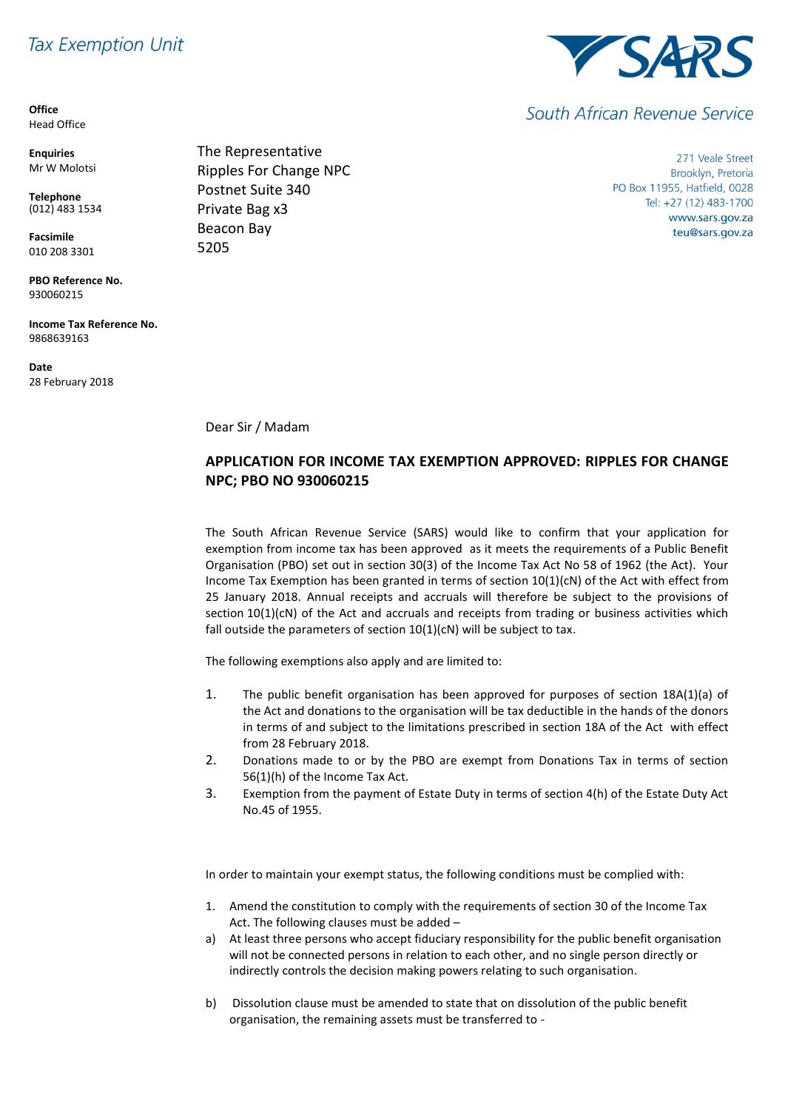# **Tax Exemption Unit**

**Office** Head Office

**Enquiries** Mr W Molotsi

**Telephone** (012) 483 1534

**Facsimile** 010 208 3301

**PBO Reference No.** 930060215

**Income Tax Reference No.** 9868639163

**Date** 28 February 2018



271 Veale Street Brooklyn, Pretoria PO Box 11955, Hatfield, 0028 Tel: +27 (12) 483-1700 www.sars.gov.za teu@sars.gov.za

Dear Sir / Madam

## **APPLICATION FOR INCOME TAX EXEMPTION APPROVED: RIPPLES FOR CHANGE NPC; PBO NO 930060215**

The South African Revenue Service (SARS) would like to confirm that your application for exemption from income tax has been approved as it meets the requirements of a Public Benefit Organisation (PBO) set out in section 30(3) of the Income Tax Act No 58 of 1962 (the Act). Your Income Tax Exemption has been granted in terms of section 10(1)(cN) of the Act with effect from 25 January 2018. Annual receipts and accruals will therefore be subject to the provisions of section 10(1)(cN) of the Act and accruals and receipts from trading or business activities which fall outside the parameters of section 10(1)(cN) will be subject to tax.

The following exemptions also apply and are limited to:

- 1. The public benefit organisation has been approved for purposes of section 18A(1)(a) of the Act and donations to the organisation will be tax deductible in the hands of the donors in terms of and subject to the limitations prescribed in section 18A of the Act with effect from 28 February 2018.
- 2. Donations made to or by the PBO are exempt from Donations Tax in terms of section 56(1)(h) of the Income Tax Act.
- 3. Exemption from the payment of Estate Duty in terms of section 4(h) of the Estate Duty Act No.45 of 1955.

In order to maintain your exempt status, the following conditions must be complied with:

- 1. Amend the constitution to comply with the requirements of section 30 of the Income Tax Act. The following clauses must be added –
- a) At least three persons who accept fiduciary responsibility for the public benefit organisation will not be connected persons in relation to each other, and no single person directly or indirectly controls the decision making powers relating to such organisation.
- b) Dissolution clause must be amended to state that on dissolution of the public benefit organisation, the remaining assets must be transferred to -



South African Revenue Service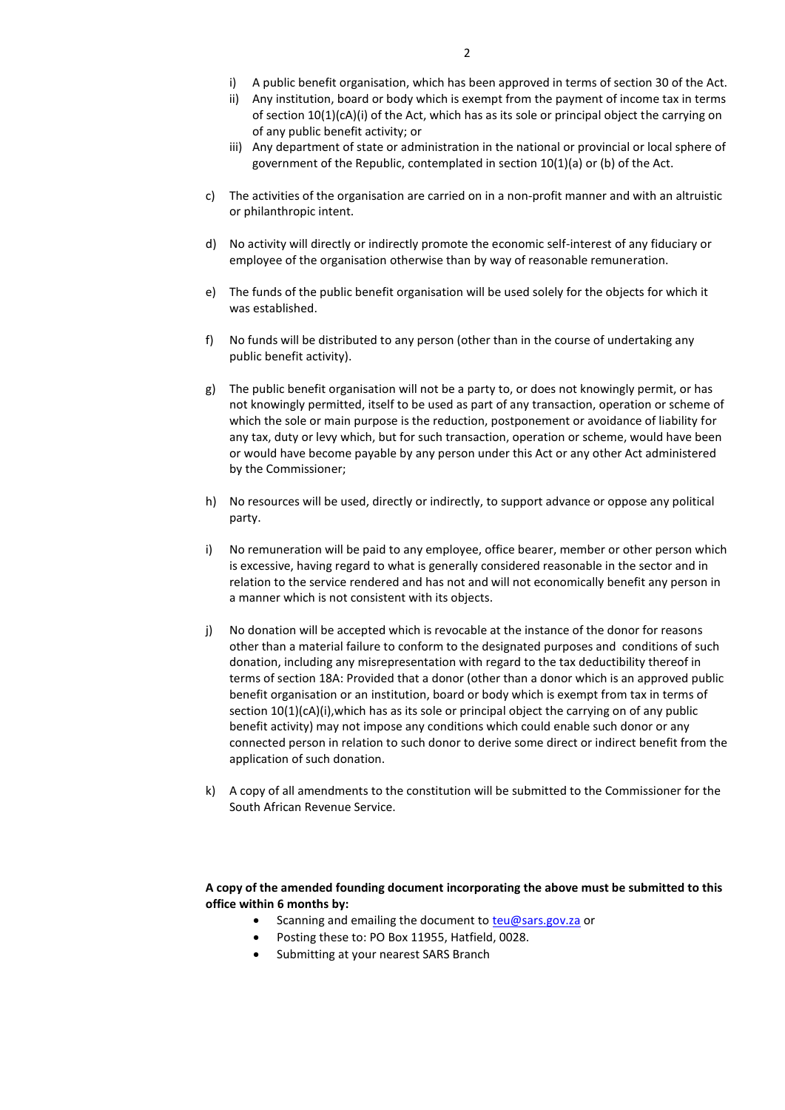- i) A public benefit organisation, which has been approved in terms of section 30 of the Act.
- ii) Any institution, board or body which is exempt from the payment of income tax in terms of section 10(1)(cA)(i) of the Act, which has as its sole or principal object the carrying on of any public benefit activity; or
- iii) Any department of state or administration in the national or provincial or local sphere of government of the Republic, contemplated in section 10(1)(a) or (b) of the Act.
- c) The activities of the organisation are carried on in a non-profit manner and with an altruistic or philanthropic intent.
- d) No activity will directly or indirectly promote the economic self-interest of any fiduciary or employee of the organisation otherwise than by way of reasonable remuneration.
- e) The funds of the public benefit organisation will be used solely for the objects for which it was established.
- f) No funds will be distributed to any person (other than in the course of undertaking any public benefit activity).
- g) The public benefit organisation will not be a party to, or does not knowingly permit, or has not knowingly permitted, itself to be used as part of any transaction, operation or scheme of which the sole or main purpose is the reduction, postponement or avoidance of liability for any tax, duty or levy which, but for such transaction, operation or scheme, would have been or would have become payable by any person under this Act or any other Act administered by the Commissioner;
- h) No resources will be used, directly or indirectly, to support advance or oppose any political party.
- i) No remuneration will be paid to any employee, office bearer, member or other person which is excessive, having regard to what is generally considered reasonable in the sector and in relation to the service rendered and has not and will not economically benefit any person in a manner which is not consistent with its objects.
- j) No donation will be accepted which is revocable at the instance of the donor for reasons other than a material failure to conform to the designated purposes and conditions of such donation, including any misrepresentation with regard to the tax deductibility thereof in terms of section 18A: Provided that a donor (other than a donor which is an approved public benefit organisation or an institution, board or body which is exempt from tax in terms of section 10(1)(cA)(i),which has as its sole or principal object the carrying on of any public benefit activity) may not impose any conditions which could enable such donor or any connected person in relation to such donor to derive some direct or indirect benefit from the application of such donation.
- k) A copy of all amendments to the constitution will be submitted to the Commissioner for the South African Revenue Service.

### **A copy of the amended founding document incorporating the above must be submitted to this office within 6 months by:**

- Scanning and emailing the document t[o teu@sars.gov.za](mailto:teu@sars.gov.za) or
	- Posting these to: PO Box 11955, Hatfield, 0028.
	- Submitting at your nearest SARS Branch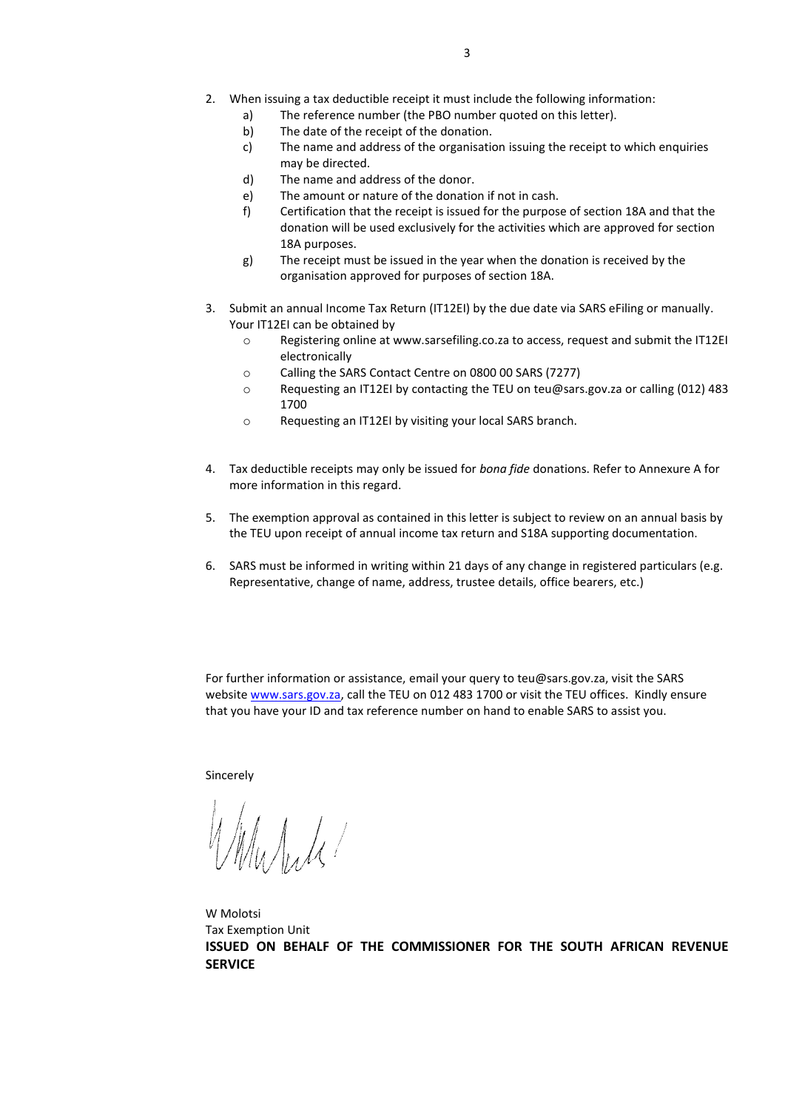- 2. When issuing a tax deductible receipt it must include the following information:
	- a) The reference number (the PBO number quoted on this letter).
	- b) The date of the receipt of the donation.
	- c) The name and address of the organisation issuing the receipt to which enquiries may be directed.
	- d) The name and address of the donor.
	- e) The amount or nature of the donation if not in cash.
	- f) Certification that the receipt is issued for the purpose of section 18A and that the donation will be used exclusively for the activities which are approved for section 18A purposes.
	- g) The receipt must be issued in the year when the donation is received by the organisation approved for purposes of section 18A.
- 3. Submit an annual Income Tax Return (IT12EI) by the due date via SARS eFiling or manually. Your IT12EI can be obtained by
	- o Registering online at www.sarsefiling.co.za to access, request and submit the IT12EI electronically
	- o Calling the SARS Contact Centre on 0800 00 SARS (7277)
	- o Requesting an IT12EI by contacting the TEU on teu@sars.gov.za or calling (012) 483 1700
	- o Requesting an IT12EI by visiting your local SARS branch.
- 4. Tax deductible receipts may only be issued for *bona fide* donations. Refer to Annexure A for more information in this regard.
- 5. The exemption approval as contained in this letter is subject to review on an annual basis by the TEU upon receipt of annual income tax return and S18A supporting documentation.
- 6. SARS must be informed in writing within 21 days of any change in registered particulars (e.g. Representative, change of name, address, trustee details, office bearers, etc.)

For further information or assistance, email your query to teu@sars.gov.za, visit the SARS website [www.sars.gov.za,](http://www.sars.gov.za/) call the TEU on 012 483 1700 or visit the TEU offices. Kindly ensure that you have your ID and tax reference number on hand to enable SARS to assist you.

Sincerely

 $\int_M \int_M \int_M$ 

W Molotsi Tax Exemption Unit **ISSUED ON BEHALF OF THE COMMISSIONER FOR THE SOUTH AFRICAN REVENUE SERVICE**